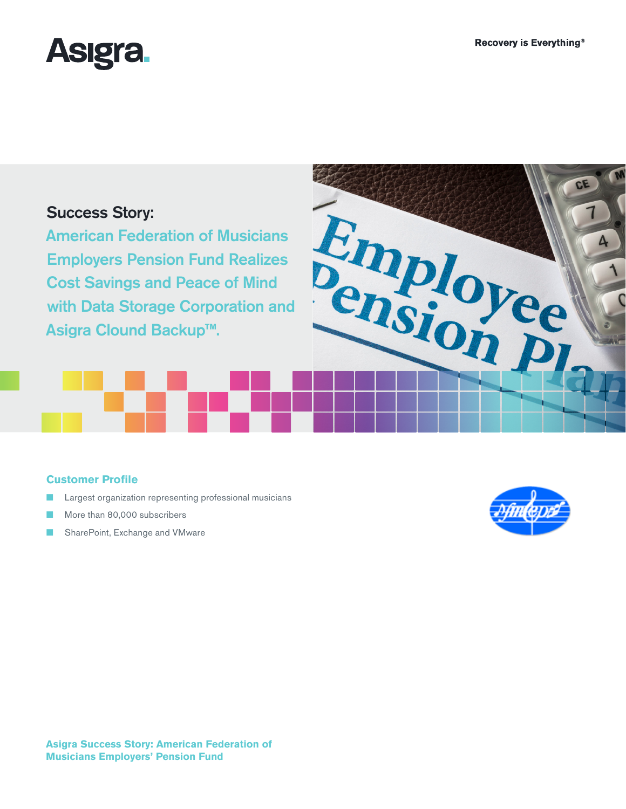CE



# Success Story:

American Federation of Musicians Employers Pension Fund Realizes Cost Savings and Peace of Mind Success Story:<br>
American Federation of Musicians<br>
Employers Pension Fund Realizes<br>
Cost Savings and Peace of Mind<br>
with Data Storage Corporation and<br>
Backup™: Asigra Clound Backup**™**.

## **Customer Profile**

- Largest organization representing professional musicians
- More than 80,000 subscribers
- SharePoint, Exchange and VMware

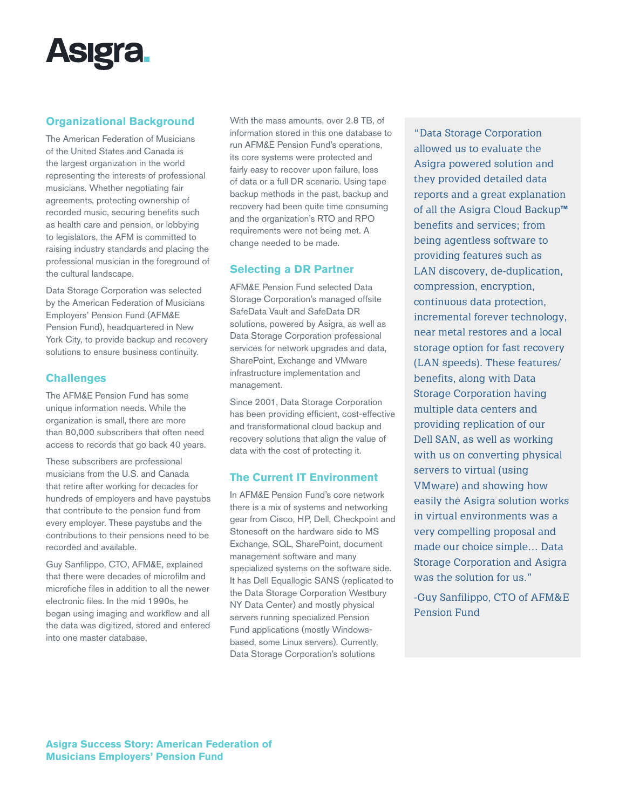

## **Organizational Background**

The American Federation of Musicians of the United States and Canada is the largest organization in the world representing the interests of professional musicians. Whether negotiating fair agreements, protecting ownership of recorded music, securing benefits such as health care and pension, or lobbying to legislators, the AFM is committed to raising industry standards and placing the professional musician in the foreground of the cultural landscape.

Data Storage Corporation was selected by the American Federation of Musicians Employers' Pension Fund (AFM&E Pension Fund), headquartered in New York City, to provide backup and recovery solutions to ensure business continuity.

## **Challenges**

The AFM&E Pension Fund has some unique information needs. While the organization is small, there are more than 80,000 subscribers that often need access to records that go back 40 years.

These subscribers are professional musicians from the U.S. and Canada that retire after working for decades for hundreds of employers and have paystubs that contribute to the pension fund from every employer. These paystubs and the contributions to their pensions need to be recorded and available.

Guy Sanfilippo, CTO, AFM&E, explained that there were decades of microfilm and microfiche files in addition to all the newer electronic files. In the mid 1990s, he began using imaging and workflow and all the data was digitized, stored and entered into one master database.

With the mass amounts, over 2.8 TB, of information stored in this one database to run AFM&E Pension Fund's operations, its core systems were protected and fairly easy to recover upon failure, loss of data or a full DR scenario. Using tape backup methods in the past, backup and recovery had been quite time consuming and the organization's RTO and RPO requirements were not being met. A change needed to be made.

## **Selecting a DR Partner**

AFM&E Pension Fund selected Data Storage Corporation's managed offsite SafeData Vault and SafeData DR solutions, powered by Asigra, as well as Data Storage Corporation professional services for network upgrades and data, SharePoint, Exchange and VMware infrastructure implementation and management.

Since 2001, Data Storage Corporation has been providing efficient, cost-effective and transformational cloud backup and recovery solutions that align the value of data with the cost of protecting it.

#### **The Current IT Environment**

In AFM&E Pension Fund's core network there is a mix of systems and networking gear from Cisco, HP, Dell, Checkpoint and Stonesoft on the hardware side to MS Exchange, SQL, SharePoint, document management software and many specialized systems on the software side. It has Dell Equallogic SANS (replicated to the Data Storage Corporation Westbury NY Data Center) and mostly physical servers running specialized Pension Fund applications (mostly Windowsbased, some Linux servers). Currently, Data Storage Corporation's solutions

"Data Storage Corporation allowed us to evaluate the Asigra powered solution and they provided detailed data reports and a great explanation of all the Asigra Cloud Backup**™** benefits and services; from being agentless software to providing features such as LAN discovery, de-duplication, compression, encryption, continuous data protection, incremental forever technology, near metal restores and a local storage option for fast recovery (LAN speeds). These features/ benefits, along with Data Storage Corporation having multiple data centers and providing replication of our Dell SAN, as well as working with us on converting physical servers to virtual (using VMware) and showing how easily the Asigra solution works in virtual environments was a very compelling proposal and made our choice simple… Data Storage Corporation and Asigra was the solution for us."

-Guy Sanfilippo, CTO of AFM&E Pension Fund